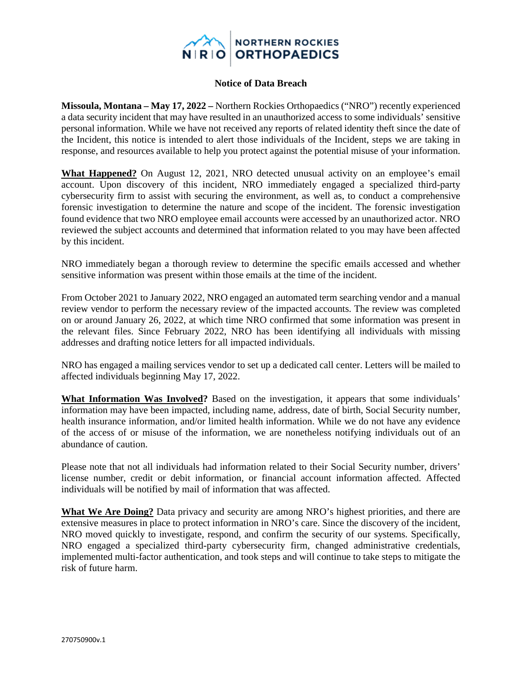

## **Notice of Data Breach**

**Missoula, Montana – May 17, 2022 –** Northern Rockies Orthopaedics ("NRO") recently experienced a data security incident that may have resulted in an unauthorized access to some individuals' sensitive personal information. While we have not received any reports of related identity theft since the date of the Incident, this notice is intended to alert those individuals of the Incident, steps we are taking in response, and resources available to help you protect against the potential misuse of your information.

**What Happened?** On August 12, 2021, NRO detected unusual activity on an employee's email account. Upon discovery of this incident, NRO immediately engaged a specialized third-party cybersecurity firm to assist with securing the environment, as well as, to conduct a comprehensive forensic investigation to determine the nature and scope of the incident. The forensic investigation found evidence that two NRO employee email accounts were accessed by an unauthorized actor. NRO reviewed the subject accounts and determined that information related to you may have been affected by this incident.

NRO immediately began a thorough review to determine the specific emails accessed and whether sensitive information was present within those emails at the time of the incident.

From October 2021 to January 2022, NRO engaged an automated term searching vendor and a manual review vendor to perform the necessary review of the impacted accounts. The review was completed on or around January 26, 2022, at which time NRO confirmed that some information was present in the relevant files. Since February 2022, NRO has been identifying all individuals with missing addresses and drafting notice letters for all impacted individuals.

NRO has engaged a mailing services vendor to set up a dedicated call center. Letters will be mailed to affected individuals beginning May 17, 2022.

**What Information Was Involved?** Based on the investigation, it appears that some individuals' information may have been impacted, including name, address, date of birth, Social Security number, health insurance information, and/or limited health information. While we do not have any evidence of the access of or misuse of the information, we are nonetheless notifying individuals out of an abundance of caution.

Please note that not all individuals had information related to their Social Security number, drivers' license number, credit or debit information, or financial account information affected. Affected individuals will be notified by mail of information that was affected.

**What We Are Doing?** Data privacy and security are among NRO's highest priorities, and there are extensive measures in place to protect information in NRO's care. Since the discovery of the incident, NRO moved quickly to investigate, respond, and confirm the security of our systems. Specifically, NRO engaged a specialized third-party cybersecurity firm, changed administrative credentials, implemented multi-factor authentication, and took steps and will continue to take steps to mitigate the risk of future harm.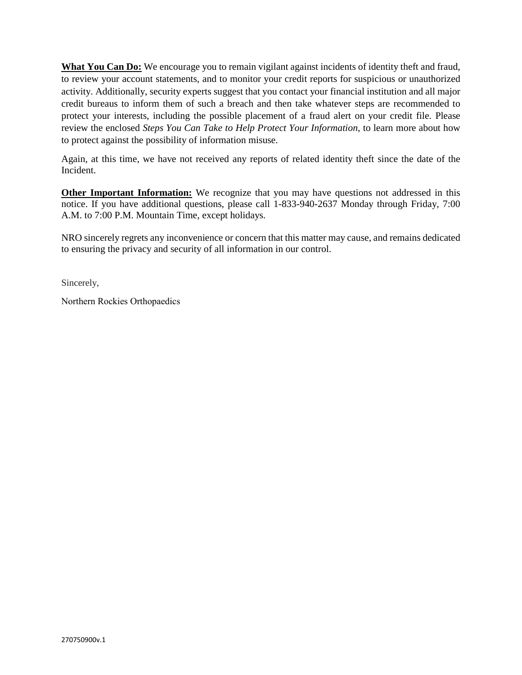**What You Can Do:** We encourage you to remain vigilant against incidents of identity theft and fraud, to review your account statements, and to monitor your credit reports for suspicious or unauthorized activity. Additionally, security experts suggest that you contact your financial institution and all major credit bureaus to inform them of such a breach and then take whatever steps are recommended to protect your interests, including the possible placement of a fraud alert on your credit file. Please review the enclosed *Steps You Can Take to Help Protect Your Information*, to learn more about how to protect against the possibility of information misuse.

Again, at this time, we have not received any reports of related identity theft since the date of the Incident.

**Other Important Information:** We recognize that you may have questions not addressed in this notice. If you have additional questions, please call 1-833-940-2637 Monday through Friday, 7:00 A.M. to 7:00 P.M. Mountain Time, except holidays.

NRO sincerely regrets any inconvenience or concern that this matter may cause, and remains dedicated to ensuring the privacy and security of all information in our control.

Sincerely,

Northern Rockies Orthopaedics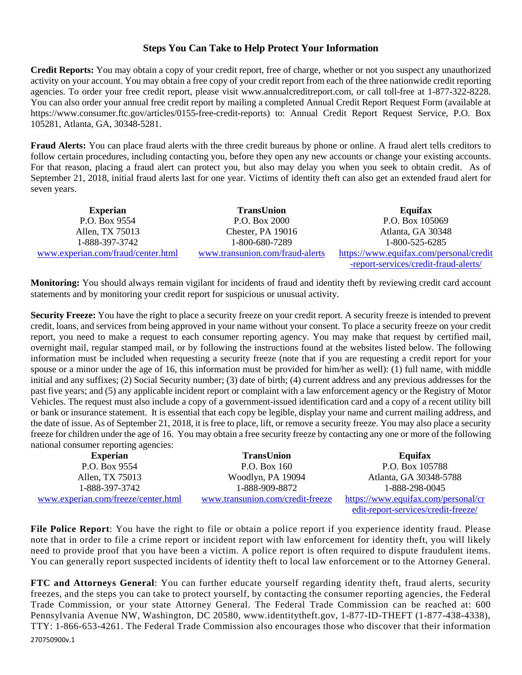## **Steps You Can Take to Help Protect Your Information**

**Credit Reports:** You may obtain a copy of your credit report, free of charge, whether or not you suspect any unauthorized activity on your account. You may obtain a free copy of your credit report from each of the three nationwide credit reporting agencies. To order your free credit report, please visit www.annualcreditreport.com, or call toll-free at 1-877-322-8228. You can also order your annual free credit report by mailing a completed Annual Credit Report Request Form (available at https://www.consumer.ftc.gov/articles/0155-free-credit-reports) to: Annual Credit Report Request Service, P.O. Box 105281, Atlanta, GA, 30348-5281.

**Fraud Alerts:** You can place fraud alerts with the three credit bureaus by phone or online. A fraud alert tells creditors to follow certain procedures, including contacting you, before they open any new accounts or change your existing accounts. For that reason, placing a fraud alert can protect you, but also may delay you when you seek to obtain credit. As of September 21, 2018, initial fraud alerts last for one year. Victims of identity theft can also get an extended fraud alert for seven years.

| <b>Experian</b>                    | <b>TransUnion</b>               | Equifax                                 |
|------------------------------------|---------------------------------|-----------------------------------------|
| P.O. Box 9554                      | P.O. Box 2000                   | P.O. Box 105069                         |
| Allen, TX 75013                    | Chester, PA 19016               | Atlanta, GA 30348                       |
| 1-888-397-3742                     | 1-800-680-7289                  | 1-800-525-6285                          |
| www.experian.com/fraud/center.html | www.transunion.com/fraud-alerts | https://www.equifax.com/personal/credit |
|                                    |                                 | -report-services/credit-fraud-alerts/   |

**Monitoring:** You should always remain vigilant for incidents of fraud and identity theft by reviewing credit card account statements and by monitoring your credit report for suspicious or unusual activity.

**Security Freeze:** You have the right to place a security freeze on your credit report. A security freeze is intended to prevent credit, loans, and services from being approved in your name without your consent. To place a security freeze on your credit report, you need to make a request to each consumer reporting agency. You may make that request by certified mail, overnight mail, regular stamped mail, or by following the instructions found at the websites listed below. The following information must be included when requesting a security freeze (note that if you are requesting a credit report for your spouse or a minor under the age of 16, this information must be provided for him/her as well): (1) full name, with middle initial and any suffixes; (2) Social Security number; (3) date of birth; (4) current address and any previous addresses for the past five years; and (5) any applicable incident report or complaint with a law enforcement agency or the Registry of Motor Vehicles. The request must also include a copy of a government-issued identification card and a copy of a recent utility bill or bank or insurance statement. It is essential that each copy be legible, display your name and current mailing address, and the date of issue. As of September 21, 2018, it is free to place, lift, or remove a security freeze. You may also place a security freeze for children under the age of 16. You may obtain a free security freeze by contacting any one or more of the following national consumer reporting agencies:

| <b>Experian</b>                     | <b>TransUnion</b>                | Equifax                             |
|-------------------------------------|----------------------------------|-------------------------------------|
| P.O. Box 9554                       | P.O. Box 160                     | P.O. Box 105788                     |
| Allen, TX 75013                     | Woodlyn, PA 19094                | Atlanta, GA 30348-5788              |
| 1-888-397-3742                      | 1-888-909-8872                   | 1-888-298-0045                      |
| www.experian.com/freeze/center.html | www.transunion.com/credit-freeze | https://www.equifax.com/personal/cr |
|                                     |                                  | edit-report-services/credit-freeze/ |

**File Police Report**: You have the right to file or obtain a police report if you experience identity fraud. Please note that in order to file a crime report or incident report with law enforcement for identity theft, you will likely need to provide proof that you have been a victim. A police report is often required to dispute fraudulent items. You can generally report suspected incidents of identity theft to local law enforcement or to the Attorney General.

**FTC and Attorneys General**: You can further educate yourself regarding identity theft, fraud alerts, security freezes, and the steps you can take to protect yourself, by contacting the consumer reporting agencies, the Federal Trade Commission, or your state Attorney General. The Federal Trade Commission can be reached at: 600 Pennsylvania Avenue NW, Washington, DC 20580, www.identitytheft.gov, 1-877-ID-THEFT (1-877-438-4338), TTY: 1-866-653-4261. The Federal Trade Commission also encourages those who discover that their information